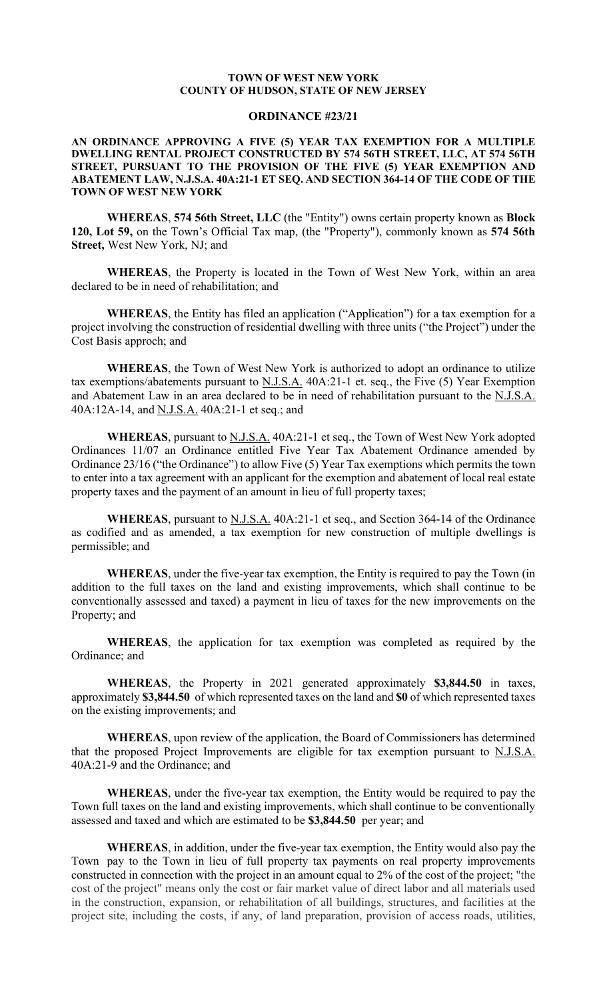#### **TOWN OF WEST NEW YORK COUNTY OF HUDSON, STATE OF NEW JERSEY**

## **ORDINANCE #23/21**

### **AN ORDINANCE APPROVING A FIVE (5) YEAR TAX EXEMPTION FOR A MULTIPLE DWELLING RENTAL PROJECT CONSTRUCTED BY 574 56TH STREET, LLC, AT 574 56TH STREET, PURSUANT TO THE PROVISION OF THE FIVE (5) YEAR EXEMPTION AND ABATEMENT LAW, N.J.S.A. 40A:21-1 ET SEQ. AND SECTION 364-14 OF THE CODE OF THE TOWN OF WEST NEW YORK**

**WHEREAS**, **574 56th Street, LLC** (the "Entity") owns certain property known as **Block 120, Lot 59,** on the Town's Official Tax map, (the "Property"), commonly known as **574 56th Street,** West New York, NJ; and

**WHEREAS**, the Property is located in the Town of West New York, within an area declared to be in need of rehabilitation; and

**WHEREAS**, the Entity has filed an application ("Application") for a tax exemption for a project involving the construction of residential dwelling with three units ("the Project") under the Cost Basis approch; and

**WHEREAS**, the Town of West New York is authorized to adopt an ordinance to utilize tax exemptions/abatements pursuant to  $N.J.S.A.$  40A:21-1 et. seq., the Five (5) Year Exemption and Abatement Law in an area declared to be in need of rehabilitation pursuant to the N.J.S.A. 40A:12A-14, and N.J.S.A. 40A:21-1 et seq.; and

**WHEREAS**, pursuant to N.J.S.A. 40A:21-1 et seq., the Town of West New York adopted Ordinances 11/07 an Ordinance entitled Five Year Tax Abatement Ordinance amended by Ordinance 23/16 ("the Ordinance") to allow Five (5) Year Tax exemptions which permits the town to enter into a tax agreement with an applicant for the exemption and abatement of local real estate property taxes and the payment of an amount in lieu of full property taxes;

**WHEREAS**, pursuant to N.J.S.A. 40A:21-1 et seq., and Section 364-14 of the Ordinance as codified and as amended, a tax exemption for new construction of multiple dwellings is permissible; and

**WHEREAS**, under the five-year tax exemption, the Entity is required to pay the Town (in addition to the full taxes on the land and existing improvements, which shall continue to be conventionally assessed and taxed) a payment in lieu of taxes for the new improvements on the Property; and

**WHEREAS**, the application for tax exemption was completed as required by the Ordinance; and

**WHEREAS**, the Property in 2021 generated approximately **\$3,844.50** in taxes, approximately **\$3,844.50** of which represented taxes on the land and **\$0** of which represented taxes on the existing improvements; and

**WHEREAS**, upon review of the application, the Board of Commissioners has determined that the proposed Project Improvements are eligible for tax exemption pursuant to  $N.J.S.A.$ 40A:21-9 and the Ordinance; and

**WHEREAS**, under the five-year tax exemption, the Entity would be required to pay the Town full taxes on the land and existing improvements, which shall continue to be conventionally assessed and taxed and which are estimated to be **\$3,844.50** per year; and

**WHEREAS**, in addition, under the five-year tax exemption, the Entity would also pay the Town pay to the Town in lieu of full property tax payments on real property improvements constructed in connection with the project in an amount equal to 2% of the cost of the project; "the cost of the project" means only the cost or fair market value of direct labor and all materials used in the construction, expansion, or rehabilitation of all buildings, structures, and facilities at the project site, including the costs, if any, of land preparation, provision of access roads, utilities,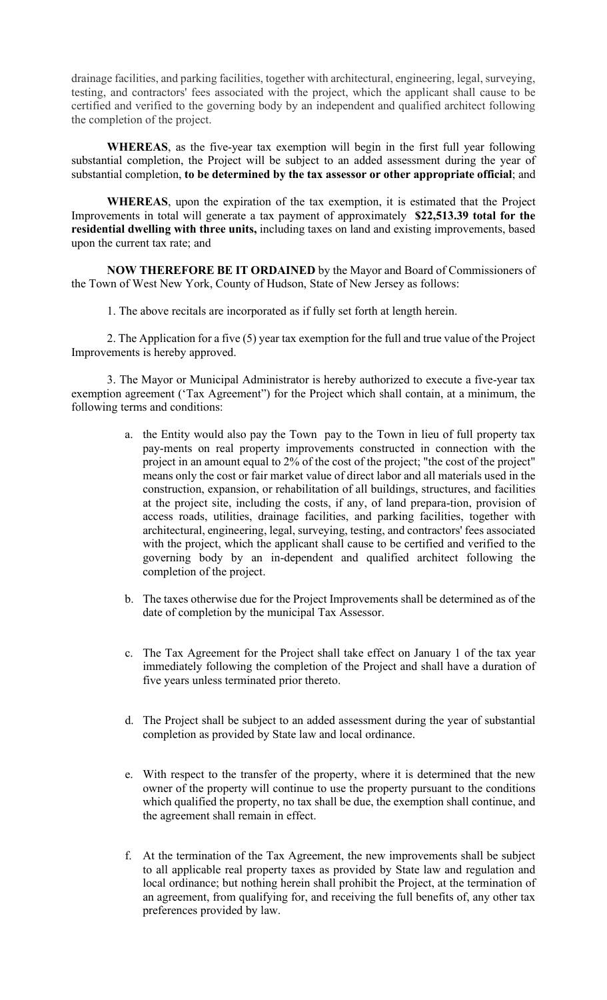drainage facilities, and parking facilities, together with architectural, engineering, legal, surveying, testing, and contractors' fees associated with the project, which the applicant shall cause to be certified and verified to the governing body by an independent and qualified architect following the completion of the project.

**WHEREAS**, as the five-year tax exemption will begin in the first full year following substantial completion, the Project will be subject to an added assessment during the year of substantial completion, **to be determined by the tax assessor or other appropriate official**; and

**WHEREAS**, upon the expiration of the tax exemption, it is estimated that the Project Improvements in total will generate a tax payment of approximately **\$22,513.39 total for the residential dwelling with three units,** including taxes on land and existing improvements, based upon the current tax rate; and

**NOW THEREFORE BE IT ORDAINED** by the Mayor and Board of Commissioners of the Town of West New York, County of Hudson, State of New Jersey as follows:

1. The above recitals are incorporated as if fully set forth at length herein.

2. The Application for a five (5) year tax exemption for the full and true value of the Project Improvements is hereby approved.

3. The Mayor or Municipal Administrator is hereby authorized to execute a five-year tax exemption agreement ('Tax Agreement") for the Project which shall contain, at a minimum, the following terms and conditions:

- a. the Entity would also pay the Town pay to the Town in lieu of full property tax pay-ments on real property improvements constructed in connection with the project in an amount equal to 2% of the cost of the project; "the cost of the project" means only the cost or fair market value of direct labor and all materials used in the construction, expansion, or rehabilitation of all buildings, structures, and facilities at the project site, including the costs, if any, of land prepara-tion, provision of access roads, utilities, drainage facilities, and parking facilities, together with architectural, engineering, legal, surveying, testing, and contractors' fees associated with the project, which the applicant shall cause to be certified and verified to the governing body by an in-dependent and qualified architect following the completion of the project.
- b. The taxes otherwise due for the Project Improvements shall be determined as of the date of completion by the municipal Tax Assessor.
- c. The Tax Agreement for the Project shall take effect on January 1 of the tax year immediately following the completion of the Project and shall have a duration of five years unless terminated prior thereto.
- d. The Project shall be subject to an added assessment during the year of substantial completion as provided by State law and local ordinance.
- e. With respect to the transfer of the property, where it is determined that the new owner of the property will continue to use the property pursuant to the conditions which qualified the property, no tax shall be due, the exemption shall continue, and the agreement shall remain in effect.
- f. At the termination of the Tax Agreement, the new improvements shall be subject to all applicable real property taxes as provided by State law and regulation and local ordinance; but nothing herein shall prohibit the Project, at the termination of an agreement, from qualifying for, and receiving the full benefits of, any other tax preferences provided by law.